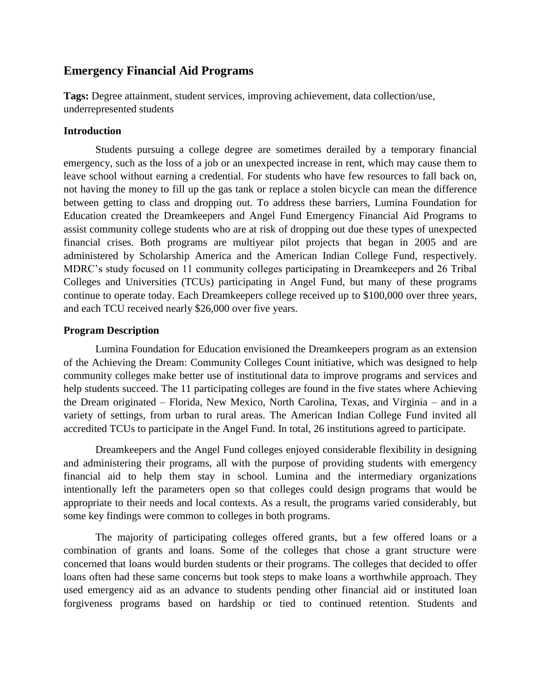# **Emergency Financial Aid Programs**

**Tags:** Degree attainment, student services, improving achievement, data collection/use, underrepresented students

### **Introduction**

Students pursuing a college degree are sometimes derailed by a temporary financial emergency, such as the loss of a job or an unexpected increase in rent, which may cause them to leave school without earning a credential. For students who have few resources to fall back on, not having the money to fill up the gas tank or replace a stolen bicycle can mean the difference between getting to class and dropping out. To address these barriers, Lumina Foundation for Education created the Dreamkeepers and Angel Fund Emergency Financial Aid Programs to assist community college students who are at risk of dropping out due these types of unexpected financial crises. Both programs are multiyear pilot projects that began in 2005 and are administered by Scholarship America and the American Indian College Fund, respectively. MDRC's study focused on 11 community colleges participating in Dreamkeepers and 26 Tribal Colleges and Universities (TCUs) participating in Angel Fund, but many of these programs continue to operate today. Each Dreamkeepers college received up to \$100,000 over three years, and each TCU received nearly \$26,000 over five years.

## **Program Description**

Lumina Foundation for Education envisioned the Dreamkeepers program as an extension of the Achieving the Dream: Community Colleges Count initiative, which was designed to help community colleges make better use of institutional data to improve programs and services and help students succeed. The 11 participating colleges are found in the five states where Achieving the Dream originated – Florida, New Mexico, North Carolina, Texas, and Virginia – and in a variety of settings, from urban to rural areas. The American Indian College Fund invited all accredited TCUs to participate in the Angel Fund. In total, 26 institutions agreed to participate.

Dreamkeepers and the Angel Fund colleges enjoyed considerable flexibility in designing and administering their programs, all with the purpose of providing students with emergency financial aid to help them stay in school. Lumina and the intermediary organizations intentionally left the parameters open so that colleges could design programs that would be appropriate to their needs and local contexts. As a result, the programs varied considerably, but some key findings were common to colleges in both programs.

The majority of participating colleges offered grants, but a few offered loans or a combination of grants and loans. Some of the colleges that chose a grant structure were concerned that loans would burden students or their programs. The colleges that decided to offer loans often had these same concerns but took steps to make loans a worthwhile approach. They used emergency aid as an advance to students pending other financial aid or instituted loan forgiveness programs based on hardship or tied to continued retention. Students and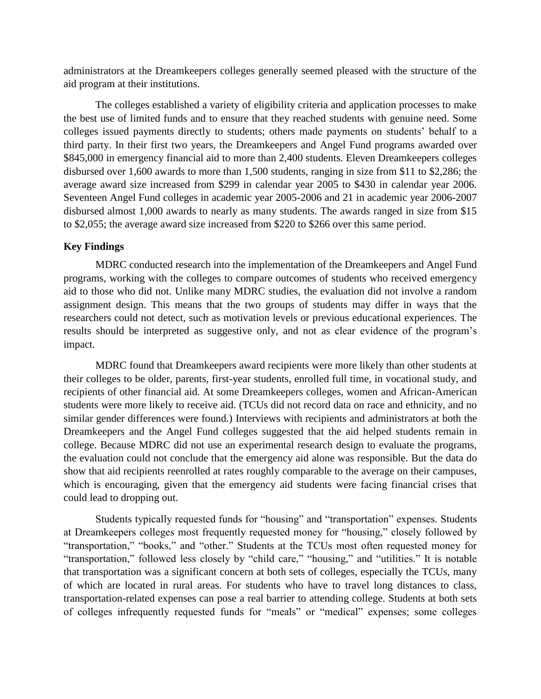administrators at the Dreamkeepers colleges generally seemed pleased with the structure of the aid program at their institutions.

The colleges established a variety of eligibility criteria and application processes to make the best use of limited funds and to ensure that they reached students with genuine need. Some colleges issued payments directly to students; others made payments on students' behalf to a third party. In their first two years, the Dreamkeepers and Angel Fund programs awarded over \$845,000 in emergency financial aid to more than 2,400 students. Eleven Dreamkeepers colleges disbursed over 1,600 awards to more than 1,500 students, ranging in size from \$11 to \$2,286; the average award size increased from \$299 in calendar year 2005 to \$430 in calendar year 2006. Seventeen Angel Fund colleges in academic year 2005-2006 and 21 in academic year 2006-2007 disbursed almost 1,000 awards to nearly as many students. The awards ranged in size from \$15 to \$2,055; the average award size increased from \$220 to \$266 over this same period.

#### **Key Findings**

MDRC conducted research into the implementation of the Dreamkeepers and Angel Fund programs, working with the colleges to compare outcomes of students who received emergency aid to those who did not. Unlike many MDRC studies, the evaluation did not involve a random assignment design. This means that the two groups of students may differ in ways that the researchers could not detect, such as motivation levels or previous educational experiences. The results should be interpreted as suggestive only, and not as clear evidence of the program's impact.

MDRC found that Dreamkeepers award recipients were more likely than other students at their colleges to be older, parents, first-year students, enrolled full time, in vocational study, and recipients of other financial aid. At some Dreamkeepers colleges, women and African-American students were more likely to receive aid. (TCUs did not record data on race and ethnicity, and no similar gender differences were found.) Interviews with recipients and administrators at both the Dreamkeepers and the Angel Fund colleges suggested that the aid helped students remain in college. Because MDRC did not use an experimental research design to evaluate the programs, the evaluation could not conclude that the emergency aid alone was responsible. But the data do show that aid recipients reenrolled at rates roughly comparable to the average on their campuses, which is encouraging, given that the emergency aid students were facing financial crises that could lead to dropping out.

Students typically requested funds for "housing" and "transportation" expenses. Students at Dreamkeepers colleges most frequently requested money for "housing," closely followed by "transportation," "books," and "other." Students at the TCUs most often requested money for "transportation," followed less closely by "child care," "housing," and "utilities." It is notable that transportation was a significant concern at both sets of colleges, especially the TCUs, many of which are located in rural areas. For students who have to travel long distances to class, transportation-related expenses can pose a real barrier to attending college. Students at both sets of colleges infrequently requested funds for "meals" or "medical" expenses; some colleges